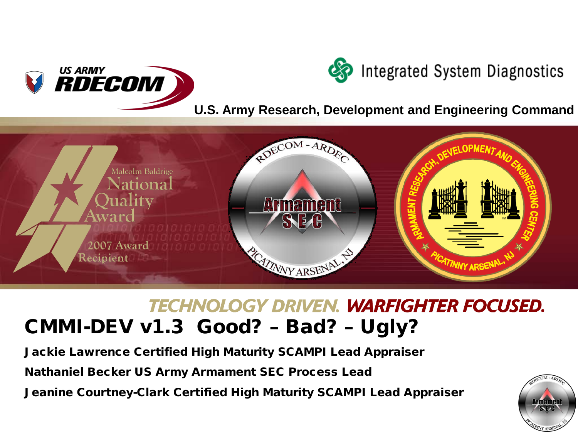



**U.S. Army Research, Development and Engineering Command**



# **TECHNOLOGY DRIVEN. WARFIGHTER FOCUSED.** CMMI-DEV v1.3 Good? – Bad? – Ugly?

Jackie Lawrence Certified High Maturity SCAMPI Lead Appraiser

Nathaniel Becker US Army Armament SEC Process Lead

Jeanine Courtney-Clark Certified High Maturity SCAMPI Lead Appraiser

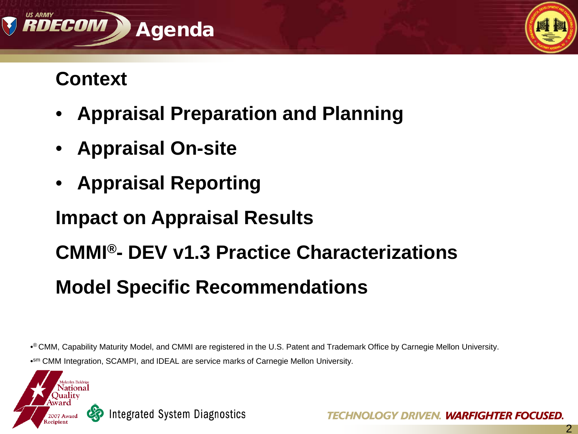

# **Context**

- **Appraisal Preparation and Planning**
- **Appraisal On-site**
- **Appraisal Reporting**

# **Impact on Appraisal Results CMMI®- DEV v1.3 Practice Characterizations Model Specific Recommendations**

•® CMM, Capability Maturity Model, and CMMI are registered in the U.S. Patent and Trademark Office by Carnegie Mellon University. •sm CMM Integration, SCAMPI, and IDEAL are service marks of Carnegie Mellon University.



2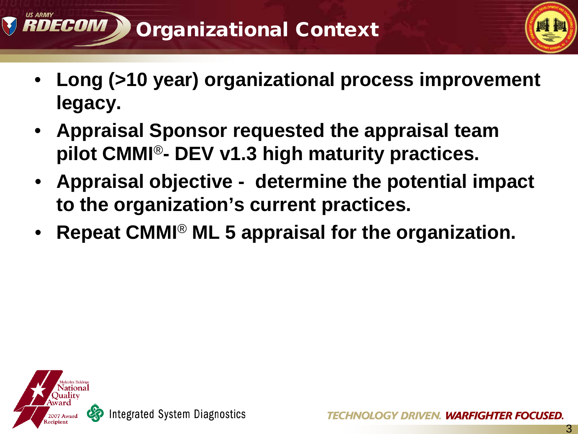



3

- **Long (>10 year) organizational process improvement legacy.**
- **Appraisal Sponsor requested the appraisal team pilot CMMI**®**- DEV v1.3 high maturity practices.**
- **Appraisal objective - determine the potential impact to the organization's current practices.**
- **Repeat CMMI**® **ML 5 appraisal for the organization.**

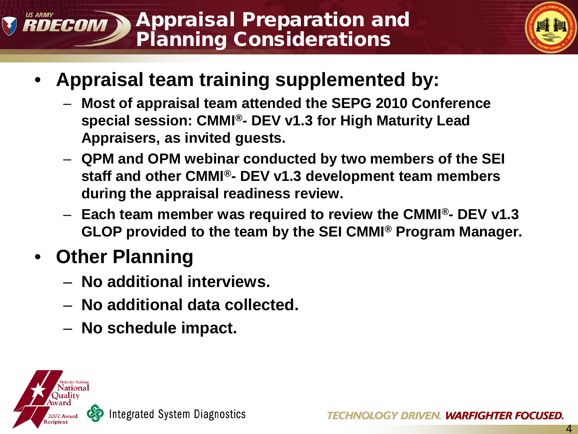#### Appraisal Preparation and RDECOM Planning Considerations



- **Appraisal team training supplemented by:**
	- **Most of appraisal team attended the SEPG 2010 Conference special session: CMMI®- DEV v1.3 for High Maturity Lead Appraisers, as invited guests.**
	- **QPM and OPM webinar conducted by two members of the SEI staff and other CMMI®- DEV v1.3 development team members during the appraisal readiness review.**
	- **Each team member was required to review the CMMI®- DEV v1.3 GLOP provided to the team by the SEI CMMI® Program Manager.**

# • **Other Planning**

- **No additional interviews.**
- **No additional data collected.**
- **No schedule impact.**

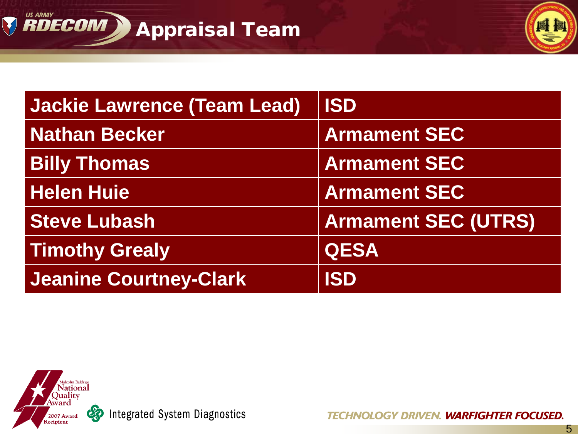



| <b>Jackie Lawrence (Team Lead)</b> | <b>ISD</b>                 |
|------------------------------------|----------------------------|
| <b>Nathan Becker</b>               | <b>Armament SEC</b>        |
| <b>Billy Thomas</b>                | <b>Armament SEC</b>        |
| <b>Helen Huie</b>                  | <b>Armament SEC</b>        |
| <b>Steve Lubash</b>                | <b>Armament SEC (UTRS)</b> |
| <b>Timothy Grealy</b>              | <b>QESA</b>                |
| <b>Jeanine Courtney-Clark</b>      | <b>ISD</b>                 |



So Integrated System Diagnostics

**TECHNOLOGY DRIVEN. WARFIGHTER FOCUSED.**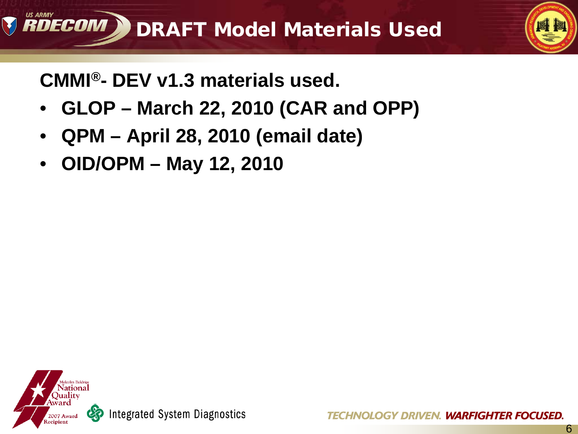

# **CMMI®- DEV v1.3 materials used.**

- **GLOP – March 22, 2010 (CAR and OPP)**
- **QPM – April 28, 2010 (email date)**
- **OID/OPM – May 12, 2010**

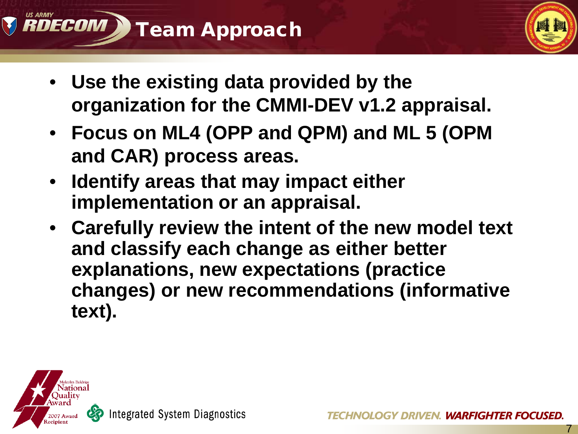



- **Use the existing data provided by the organization for the CMMI-DEV v1.2 appraisal.**
- **Focus on ML4 (OPP and QPM) and ML 5 (OPM and CAR) process areas.**
- **Identify areas that may impact either implementation or an appraisal.**
- **Carefully review the intent of the new model text and classify each change as either better explanations, new expectations (practice changes) or new recommendations (informative text).**

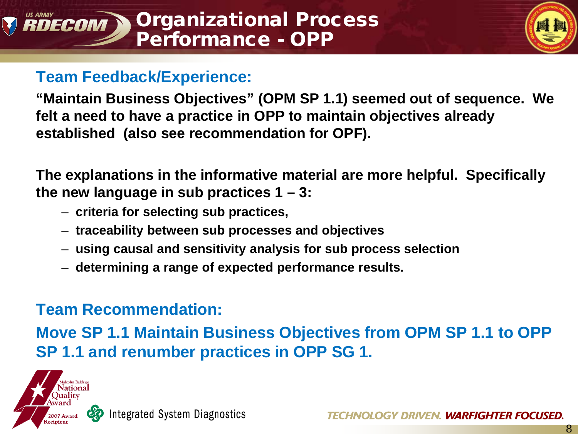

8

# **Team Feedback/Experience:**

**"Maintain Business Objectives" (OPM SP 1.1) seemed out of sequence. We felt a need to have a practice in OPP to maintain objectives already established (also see recommendation for OPF).** 

**The explanations in the informative material are more helpful. Specifically the new language in sub practices 1 – 3:**

- **criteria for selecting sub practices,**
- **traceability between sub processes and objectives**
- **using causal and sensitivity analysis for sub process selection**
- **determining a range of expected performance results.**

# **Team Recommendation:**

**Move SP 1.1 Maintain Business Objectives from OPM SP 1.1 to OPP SP 1.1 and renumber practices in OPP SG 1.** 

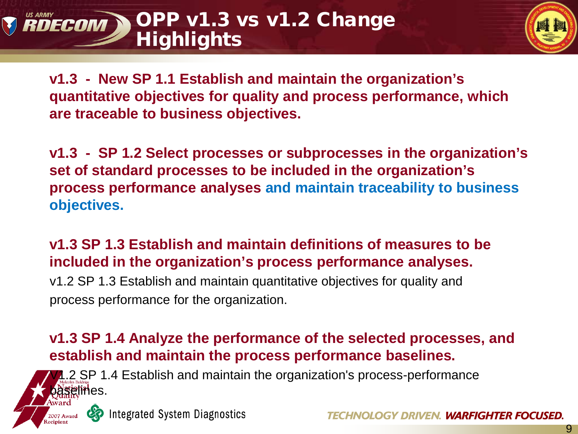#### OPP v1.3 vs v1.2 Change DECOM **Highlights**



**v1.3 - New SP 1.1 Establish and maintain the organization's quantitative objectives for quality and process performance, which are traceable to business objectives.**

**v1.3 - SP 1.2 Select processes or subprocesses in the organization's set of standard processes to be included in the organization's process performance analyses and maintain traceability to business objectives.**

**v1.3 SP 1.3 Establish and maintain definitions of measures to be included in the organization's process performance analyses.**

v1.2 SP 1.3 Establish and maintain quantitative objectives for quality and process performance for the organization.

## **v1.3 SP 1.4 Analyze the performance of the selected processes, and establish and maintain the process performance baselines.**

2 SP 1.4 Establish and maintain the organization's process-performance **elin**es.

**Integrated System Diagnostics** 

**OGY DRIVEN. WARFIGHTER FOCUSED.**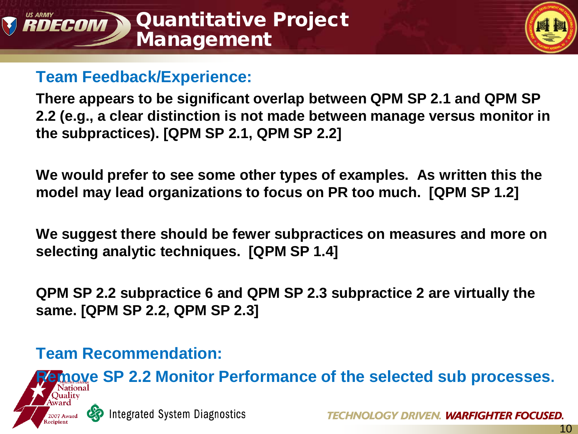



## **Team Feedback/Experience:**

**There appears to be significant overlap between QPM SP 2.1 and QPM SP 2.2 (e.g., a clear distinction is not made between manage versus monitor in the subpractices). [QPM SP 2.1, QPM SP 2.2]**

**We would prefer to see some other types of examples. As written this the model may lead organizations to focus on PR too much. [QPM SP 1.2]**

**We suggest there should be fewer subpractices on measures and more on selecting analytic techniques. [QPM SP 1.4]**

**QPM SP 2.2 subpractice 6 and QPM SP 2.3 subpractice 2 are virtually the same. [QPM SP 2.2, QPM SP 2.3]**

# **Team Recommendation:**

**Requist 2.2 Monitor Performance of the selected sub processes. Integrated System Diagnostics** GY DRIVEN. WARFIGHTER FOCUSED.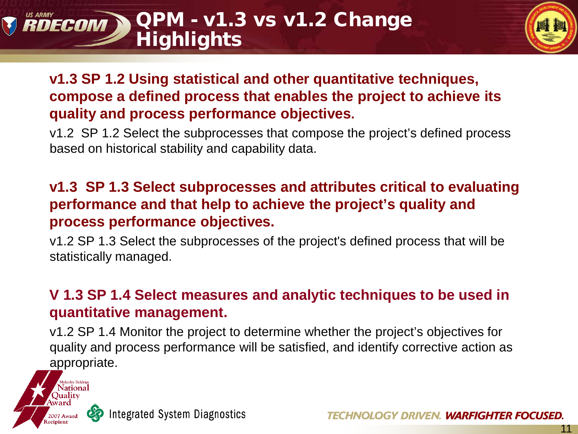#### QPM - v1.3 vs v1.2 Change RDECOM **Highlights**



## **v1.3 SP 1.2 Using statistical and other quantitative techniques, compose a defined process that enables the project to achieve its quality and process performance objectives.**

v1.2 SP 1.2 Select the subprocesses that compose the project's defined process based on historical stability and capability data.

## **v1.3 SP 1.3 Select subprocesses and attributes critical to evaluating performance and that help to achieve the project's quality and process performance objectives.**

v1.2 SP 1.3 Select the subprocesses of the project's defined process that will be statistically managed.

## **V 1.3 SP 1.4 Select measures and analytic techniques to be used in quantitative management.**

v1.2 SP 1.4 Monitor the project to determine whether the project's objectives for quality and process performance will be satisfied, and identify corrective action as appropriate.



Integrated System Diagnostics

**TECHNOLOGY DRIVEN. WARFIGHTER FOCUSED.**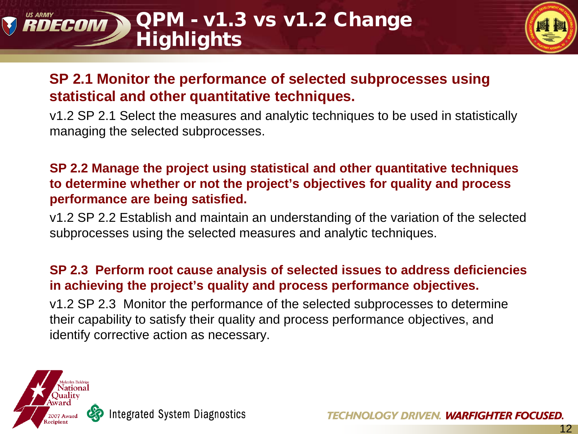#### QPM - v1.3 vs v1.2 Change RDECOM **Highlights**



12

# **SP 2.1 Monitor the performance of selected subprocesses using statistical and other quantitative techniques.**

v1.2 SP 2.1 Select the measures and analytic techniques to be used in statistically managing the selected subprocesses.

#### **SP 2.2 Manage the project using statistical and other quantitative techniques to determine whether or not the project's objectives for quality and process performance are being satisfied.**

v1.2 SP 2.2 Establish and maintain an understanding of the variation of the selected subprocesses using the selected measures and analytic techniques.

#### **SP 2.3 Perform root cause analysis of selected issues to address deficiencies in achieving the project's quality and process performance objectives.**

v1.2 SP 2.3 Monitor the performance of the selected subprocesses to determine their capability to satisfy their quality and process performance objectives, and identify corrective action as necessary.

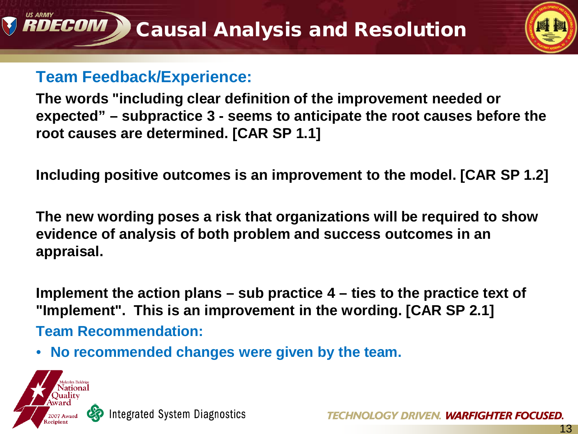

# **Team Feedback/Experience:**

**The words "including clear definition of the improvement needed or expected" – subpractice 3 - seems to anticipate the root causes before the root causes are determined. [CAR SP 1.1]** 

**Including positive outcomes is an improvement to the model. [CAR SP 1.2]**

**The new wording poses a risk that organizations will be required to show evidence of analysis of both problem and success outcomes in an appraisal.** 

**Implement the action plans – sub practice 4 – ties to the practice text of "Implement". This is an improvement in the wording. [CAR SP 2.1]**

**Team Recommendation:** 

• **No recommended changes were given by the team.**



RDECOM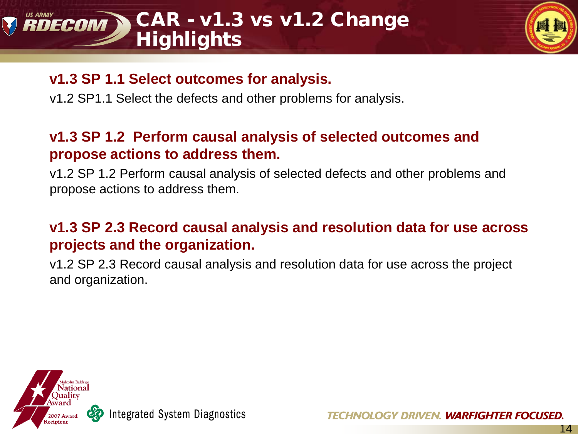# RDECOM CAR - v1.3 vs v1.2 Change **Highlights**



## **v1.3 SP 1.1 Select outcomes for analysis.**

v1.2 SP1.1 Select the defects and other problems for analysis.

# **v1.3 SP 1.2 Perform causal analysis of selected outcomes and propose actions to address them.**

v1.2 SP 1.2 Perform causal analysis of selected defects and other problems and propose actions to address them.

# **v1.3 SP 2.3 Record causal analysis and resolution data for use across projects and the organization.**

v1.2 SP 2.3 Record causal analysis and resolution data for use across the project and organization.

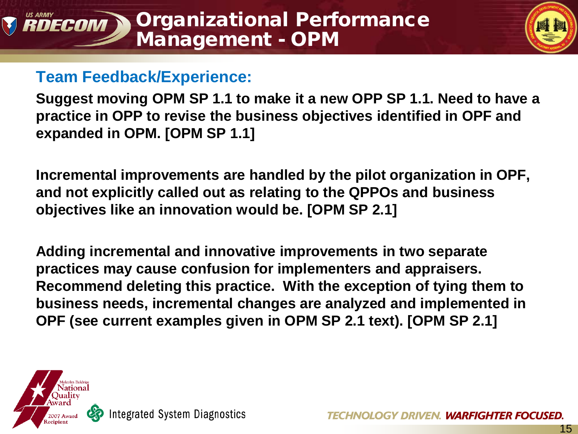

# **Team Feedback/Experience:**

**Suggest moving OPM SP 1.1 to make it a new OPP SP 1.1. Need to have a practice in OPP to revise the business objectives identified in OPF and expanded in OPM. [OPM SP 1.1]**

**Incremental improvements are handled by the pilot organization in OPF, and not explicitly called out as relating to the QPPOs and business objectives like an innovation would be. [OPM SP 2.1]**

**Adding incremental and innovative improvements in two separate practices may cause confusion for implementers and appraisers. Recommend deleting this practice. With the exception of tying them to business needs, incremental changes are analyzed and implemented in OPF (see current examples given in OPM SP 2.1 text). [OPM SP 2.1]**

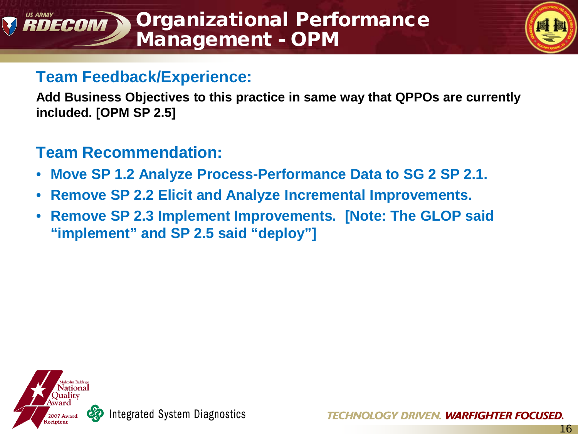#### Organizational Performance RDECOM Management - OPM



# **Team Feedback/Experience:**

**Add Business Objectives to this practice in same way that QPPOs are currently included. [OPM SP 2.5]**

# **Team Recommendation:**

- **Move SP 1.2 Analyze Process-Performance Data to SG 2 SP 2.1.**
- **Remove SP 2.2 Elicit and Analyze Incremental Improvements.**
- **Remove SP 2.3 Implement Improvements. [Note: The GLOP said "implement" and SP 2.5 said "deploy"]**

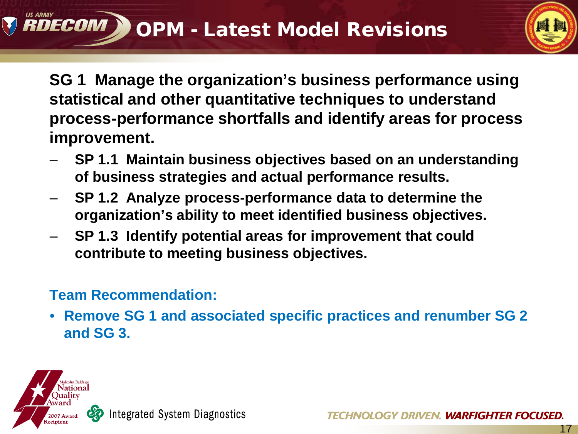

**SG 1 Manage the organization's business performance using statistical and other quantitative techniques to understand process-performance shortfalls and identify areas for process improvement.**

- **SP 1.1 Maintain business objectives based on an understanding of business strategies and actual performance results.**
- **SP 1.2 Analyze process-performance data to determine the organization's ability to meet identified business objectives.**
- **SP 1.3 Identify potential areas for improvement that could contribute to meeting business objectives.**

# **Team Recommendation:**

• **Remove SG 1 and associated specific practices and renumber SG 2 and SG 3.** 

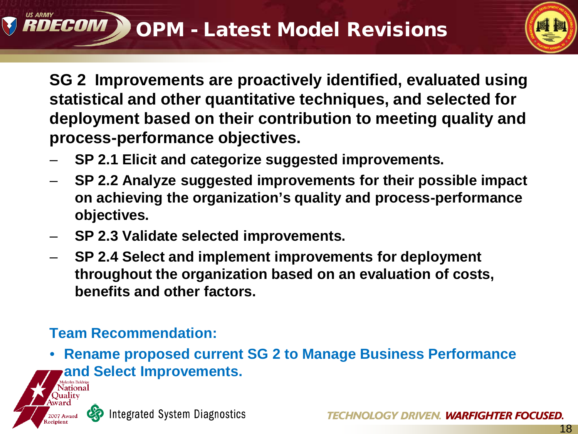

18

**SG 2 Improvements are proactively identified, evaluated using statistical and other quantitative techniques, and selected for deployment based on their contribution to meeting quality and process-performance objectives.**

- **SP 2.1 Elicit and categorize suggested improvements.**
- **SP 2.2 Analyze suggested improvements for their possible impact on achieving the organization's quality and process-performance objectives.**
- **SP 2.3 Validate selected improvements.**
- **SP 2.4 Select and implement improvements for deployment throughout the organization based on an evaluation of costs, benefits and other factors.**

# **Team Recommendation:**

• **Rename proposed current SG 2 to Manage Business Performance and Select Improvements.**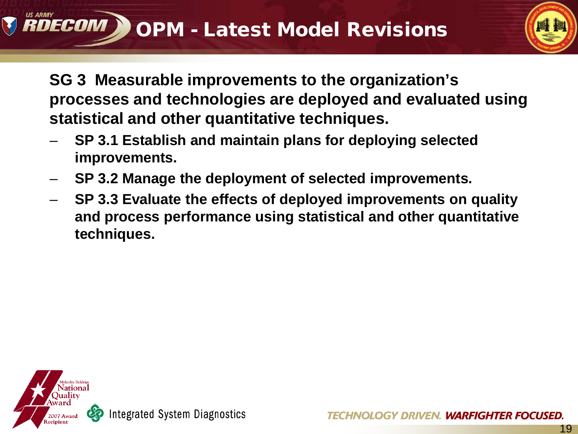

**SG 3 Measurable improvements to the organization's processes and technologies are deployed and evaluated using statistical and other quantitative techniques.**

- **SP 3.1 Establish and maintain plans for deploying selected improvements.**
- **SP 3.2 Manage the deployment of selected improvements.**
- **SP 3.3 Evaluate the effects of deployed improvements on quality and process performance using statistical and other quantitative techniques.**

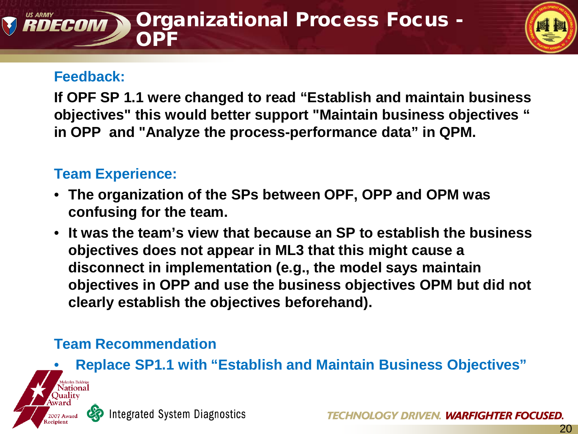#### Organizational Process Focus - DECOM OPF

#### **Feedback:**

**If OPF SP 1.1 were changed to read "Establish and maintain business objectives" this would better support "Maintain business objectives " in OPP and "Analyze the process-performance data" in QPM.** 

### **Team Experience:**

- **The organization of the SPs between OPF, OPP and OPM was confusing for the team.**
- **It was the team's view that because an SP to establish the business objectives does not appear in ML3 that this might cause a disconnect in implementation (e.g., the model says maintain objectives in OPP and use the business objectives OPM but did not clearly establish the objectives beforehand).**

# **Team Recommendation**

• **Replace SP1.1 with "Establish and Maintain Business Objectives"**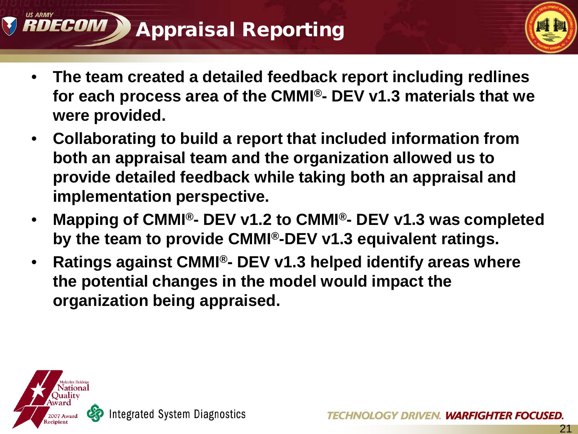# RDECOM Appraisal Reporting



- **The team created a detailed feedback report including redlines for each process area of the CMMI®- DEV v1.3 materials that we were provided.**
- **Collaborating to build a report that included information from both an appraisal team and the organization allowed us to provide detailed feedback while taking both an appraisal and implementation perspective.**
- **Mapping of CMMI®- DEV v1.2 to CMMI®- DEV v1.3 was completed by the team to provide CMMI®-DEV v1.3 equivalent ratings.**
- **Ratings against CMMI®- DEV v1.3 helped identify areas where the potential changes in the model would impact the organization being appraised.**

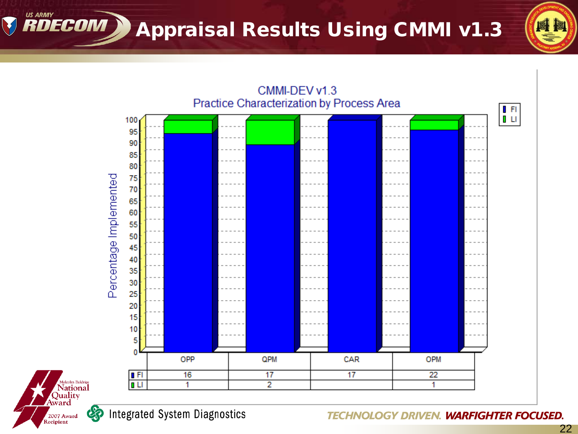**RDECOM ) Appraisal Results Using CMMI v1.3** 





**V** 

**TECHNOLOGY DRIVEN. WARFIGHTER FOCUSED.** 

四脚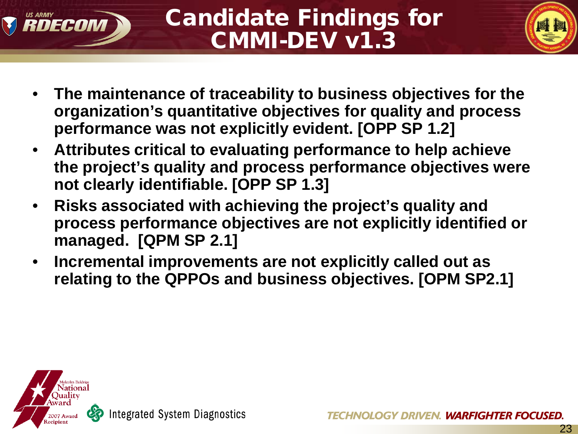



23

- **The maintenance of traceability to business objectives for the organization's quantitative objectives for quality and process performance was not explicitly evident. [OPP SP 1.2]**
- **Attributes critical to evaluating performance to help achieve the project's quality and process performance objectives were not clearly identifiable. [OPP SP 1.3]**
- **Risks associated with achieving the project's quality and process performance objectives are not explicitly identified or managed. [QPM SP 2.1]**
- **Incremental improvements are not explicitly called out as relating to the QPPOs and business objectives. [OPM SP2.1]**

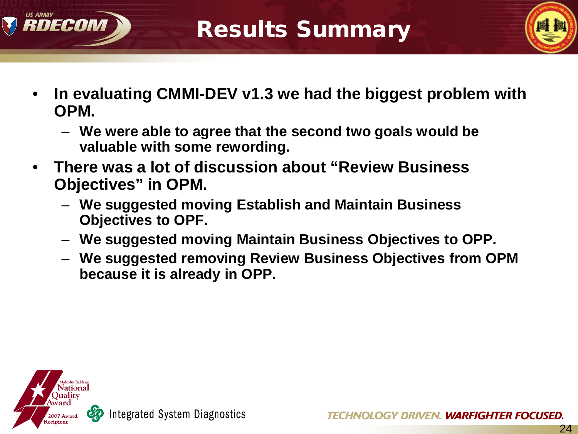



- **In evaluating CMMI-DEV v1.3 we had the biggest problem with OPM.** 
	- **We were able to agree that the second two goals would be valuable with some rewording.**
- **There was a lot of discussion about "Review Business Objectives" in OPM.** 
	- **We suggested moving Establish and Maintain Business Objectives to OPF.**
	- **We suggested moving Maintain Business Objectives to OPP.**
	- **We suggested removing Review Business Objectives from OPM because it is already in OPP.**

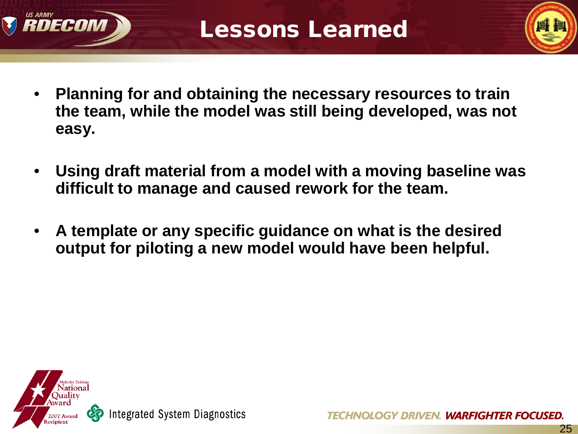



- **Planning for and obtaining the necessary resources to train the team, while the model was still being developed, was not easy.**
- **Using draft material from a model with a moving baseline was difficult to manage and caused rework for the team.**
- **A template or any specific guidance on what is the desired output for piloting a new model would have been helpful.**